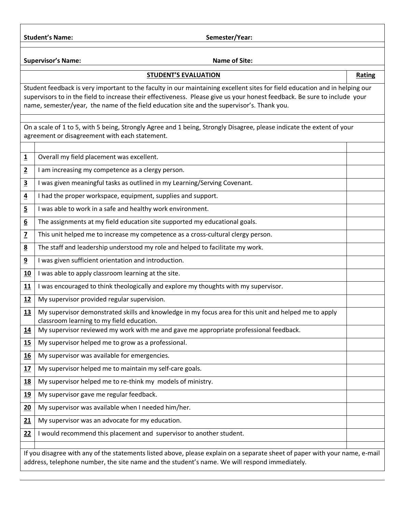Student's Name: **Student's Name: Semester/Year: Semester/Year: Semester/Semester** 

**Supervisor's Name:** Name of Site:

## **STUDENT'S EVALUATION Rating**

Student feedback is very important to the faculty in our maintaining excellent sites for field education and in helping our supervisors to in the field to increase their effectiveness. Please give us your honest feedback. Be sure to include your name, semester/year, the name of the field education site and the supervisor's. Thank you.

On a scale of 1 to 5, with 5 being, Strongly Agree and 1 being, Strongly Disagree, please indicate the extent of your agreement or disagreement with each statement.

| $\overline{\mathbf{1}}$ | Overall my field placement was excellent.                                                                                                                                                                                    |  |  |
|-------------------------|------------------------------------------------------------------------------------------------------------------------------------------------------------------------------------------------------------------------------|--|--|
| $\overline{2}$          | I am increasing my competence as a clergy person.                                                                                                                                                                            |  |  |
| $\overline{\mathbf{3}}$ | I was given meaningful tasks as outlined in my Learning/Serving Covenant.                                                                                                                                                    |  |  |
| $\overline{4}$          | I had the proper workspace, equipment, supplies and support.                                                                                                                                                                 |  |  |
| $\overline{5}$          | I was able to work in a safe and healthy work environment.                                                                                                                                                                   |  |  |
| 6                       | The assignments at my field education site supported my educational goals.                                                                                                                                                   |  |  |
| $\overline{z}$          | This unit helped me to increase my competence as a cross-cultural clergy person.                                                                                                                                             |  |  |
| $\underline{8}$         | The staff and leadership understood my role and helped to facilitate my work.                                                                                                                                                |  |  |
| 9                       | I was given sufficient orientation and introduction.                                                                                                                                                                         |  |  |
| 10                      | I was able to apply classroom learning at the site.                                                                                                                                                                          |  |  |
| 11                      | I was encouraged to think theologically and explore my thoughts with my supervisor.                                                                                                                                          |  |  |
| 12                      | My supervisor provided regular supervision.                                                                                                                                                                                  |  |  |
| 13                      | My supervisor demonstrated skills and knowledge in my focus area for this unit and helped me to apply<br>classroom learning to my field education.                                                                           |  |  |
| 14                      | My supervisor reviewed my work with me and gave me appropriate professional feedback.                                                                                                                                        |  |  |
| 15                      | My supervisor helped me to grow as a professional.                                                                                                                                                                           |  |  |
| 16                      | My supervisor was available for emergencies.                                                                                                                                                                                 |  |  |
| 17                      | My supervisor helped me to maintain my self-care goals.                                                                                                                                                                      |  |  |
| <u>18</u>               | My supervisor helped me to re-think my models of ministry.                                                                                                                                                                   |  |  |
| <u>19</u>               | My supervisor gave me regular feedback.                                                                                                                                                                                      |  |  |
| 20                      | My supervisor was available when I needed him/her.                                                                                                                                                                           |  |  |
| 21                      | My supervisor was an advocate for my education.                                                                                                                                                                              |  |  |
| 22                      | I would recommend this placement and supervisor to another student.                                                                                                                                                          |  |  |
|                         |                                                                                                                                                                                                                              |  |  |
|                         | If you disagree with any of the statements listed above, please explain on a separate sheet of paper with your name, e-mail<br>address, telephone number, the site name and the student's name. We will respond immediately. |  |  |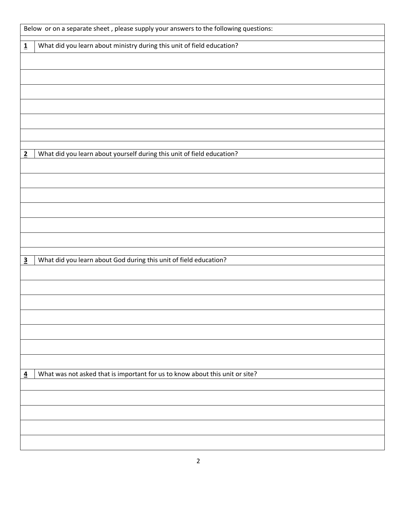| Below or on a separate sheet, please supply your answers to the following questions: |                                                                              |  |
|--------------------------------------------------------------------------------------|------------------------------------------------------------------------------|--|
| $\overline{\mathbf{1}}$                                                              | What did you learn about ministry during this unit of field education?       |  |
|                                                                                      |                                                                              |  |
|                                                                                      |                                                                              |  |
|                                                                                      |                                                                              |  |
|                                                                                      |                                                                              |  |
|                                                                                      |                                                                              |  |
|                                                                                      |                                                                              |  |
|                                                                                      |                                                                              |  |
| $\overline{2}$                                                                       | What did you learn about yourself during this unit of field education?       |  |
|                                                                                      |                                                                              |  |
|                                                                                      |                                                                              |  |
|                                                                                      |                                                                              |  |
|                                                                                      |                                                                              |  |
|                                                                                      |                                                                              |  |
|                                                                                      |                                                                              |  |
|                                                                                      |                                                                              |  |
| $\overline{\mathbf{3}}$                                                              | What did you learn about God during this unit of field education?            |  |
|                                                                                      |                                                                              |  |
|                                                                                      |                                                                              |  |
|                                                                                      |                                                                              |  |
|                                                                                      |                                                                              |  |
|                                                                                      |                                                                              |  |
|                                                                                      |                                                                              |  |
|                                                                                      |                                                                              |  |
|                                                                                      |                                                                              |  |
| $\overline{4}$                                                                       | What was not asked that is important for us to know about this unit or site? |  |
|                                                                                      |                                                                              |  |
|                                                                                      |                                                                              |  |
|                                                                                      |                                                                              |  |
|                                                                                      |                                                                              |  |
|                                                                                      |                                                                              |  |